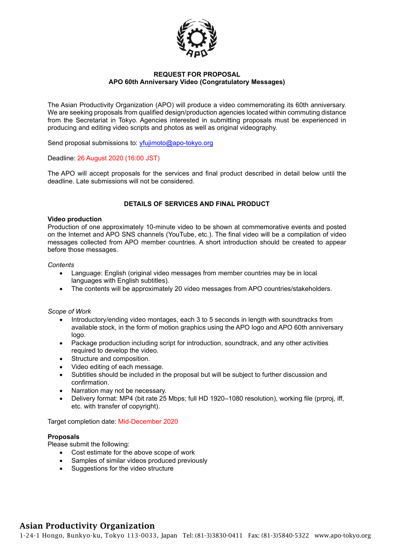

### **REQUEST FOR PROPOSAL APO 60th Anniversary Video (Congratulatory Messages)**

The Asian Productivity Organization (APO) will produce a video commemorating its 60th anniversary. We are seeking proposals from qualified design/production agencies located within commuting distance from the Secretariat in Tokyo. Agencies interested in submitting proposals must be experienced in producing and editing video scripts and photos as well as original videography.

Send proposal submissions to: [yfujimoto@apo-tokyo.org](mailto:yfujimoto@apo-tokyo.org)

Deadline: 26 August 2020 (16:00 JST)

The APO will accept proposals for the services and final product described in detail below until the deadline. Late submissions will not be considered.

## **DETAILS OF SERVICES AND FINAL PRODUCT**

#### **Video production**

Production of one approximately 10-minute video to be shown at commemorative events and posted on the Internet and APO SNS channels (YouTube, etc.). The final video will be a compilation of video messages collected from APO member countries. A short introduction should be created to appear before those messages.

#### *Contents*

- Language: English (original video messages from member countries may be in local languages with English subtitles).
- The contents will be approximately 20 video messages from APO countries/stakeholders.

#### *Scope of Work*

- Introductory/ending video montages, each 3 to 5 seconds in length with soundtracks from available stock, in the form of motion graphics using the APO logo and APO 60th anniversary logo.
- Package production including script for introduction, soundtrack, and any other activities required to develop the video.
- Structure and composition.
- Video editing of each message.
- Subtitles should be included in the proposal but will be subject to further discussion and confirmation.
- Narration may not be necessary.
- Delivery format: MP4 (bit rate 25 Mbps; full HD 1920–1080 resolution), working file (prproj, iff, etc. with transfer of copyright).

Target completion date: Mid-December 2020

#### **Proposals**

Please submit the following:

- Cost estimate for the above scope of work
- Samples of similar videos produced previously
- Suggestions for the video structure

# Asian Productivity Organization

1-24-1 Hongo, Bunkyo-ku, Tokyo 113-0033, Japan Tel: (81-3)3830-0411 Fax: (81-3)5840-5322 www.apo-tokyo.org